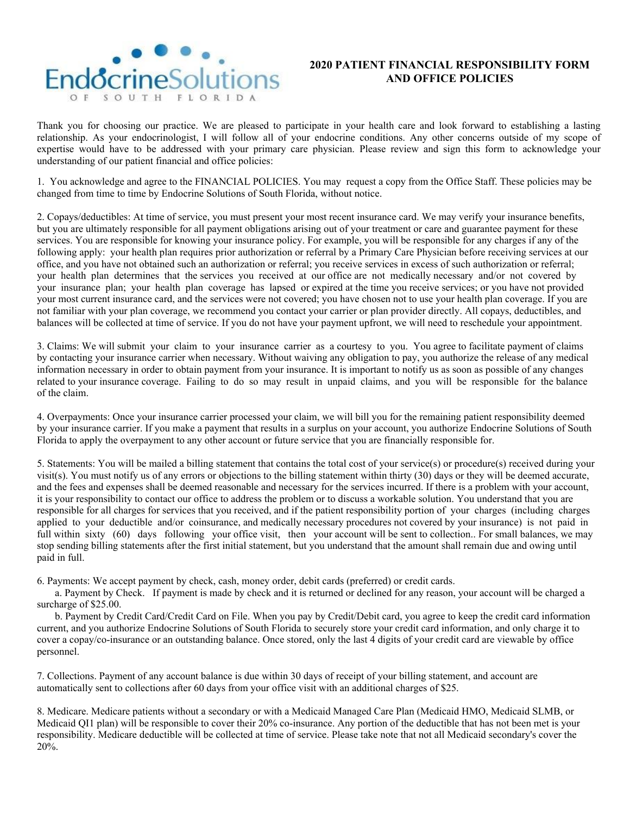

## **2020 PATIENT FINANCIAL RESPONSIBILITY FORM AND OFFICE POLICIES**

Thank you for choosing our practice. We are pleased to participate in your health care and look forward to establishing a lasting relationship. As your endocrinologist, I will follow all of your endocrine conditions. Any other concerns outside of my scope of expertise would have to be addressed with your primary care physician. Please review and sign this form to acknowledge your understanding of our patient financial and office policies:

1. You acknowledge and agree to the FINANCIAL POLICIES. You may request a copy from the Office Staff. These policies may be changed from time to time by Endocrine Solutions of South Florida, without notice.

2. Copays/deductibles: At time of service, you must present your most recent insurance card. We may verify your insurance benefits, but you are ultimately responsible for all payment obligations arising out of your treatment or care and guarantee payment for these services. You are responsible for knowing your insurance policy. For example, you will be responsible for any charges if any of the following apply: your health plan requires prior authorization or referral by a Primary Care Physician before receiving services at our office, and you have not obtained such an authorization or referral; you receive services in excess of such authorization or referral; your health plan determines that the services you received at our office are not medically necessary and/or not covered by your insurance plan; your health plan coverage has lapsed or expired at the time you receive services; or you have not provided your most current insurance card, and the services were not covered; you have chosen not to use your health plan coverage. If you are not familiar with your plan coverage, we recommend you contact your carrier or plan provider directly. All copays, deductibles, and balances will be collected at time of service. If you do not have your payment upfront, we will need to reschedule your appointment.

3. Claims: We will submit your claim to your insurance carrier as a courtesy to you. You agree to facilitate payment of claims by contacting your insurance carrier when necessary. Without waiving any obligation to pay, you authorize the release of any medical information necessary in order to obtain payment from your insurance. It is important to notify us as soon as possible of any changes related to your insurance coverage. Failing to do so may result in unpaid claims, and you will be responsible for the balance of the claim.

4. Overpayments: Once your insurance carrier processed your claim, we will bill you for the remaining patient responsibility deemed by your insurance carrier. If you make a payment that results in a surplus on your account, you authorize Endocrine Solutions of South Florida to apply the overpayment to any other account or future service that you are financially responsible for.

5. Statements: You will be mailed a billing statement that contains the total cost of your service(s) or procedure(s) received during your visit(s). You must notify us of any errors or objections to the billing statement within thirty (30) days or they will be deemed accurate, and the fees and expenses shall be deemed reasonable and necessary for the services incurred. If there is a problem with your account, it is your responsibility to contact our office to address the problem or to discuss a workable solution. You understand that you are responsible for all charges for services that you received, and if the patient responsibility portion of your charges (including charges applied to your deductible and/or coinsurance, and medically necessary procedures not covered by your insurance) is not paid in full within sixty (60) days following your office visit, then your account will be sent to collection. For small balances, we may stop sending billing statements after the first initial statement, but you understand that the amount shall remain due and owing until paid in full.

6. Payments: We accept payment by check, cash, money order, debit cards (preferred) or credit cards.

a. Payment by Check. If payment is made by check and it is returned or declined for any reason, your account will be charged a surcharge of \$25.00.

b. Payment by Credit Card/Credit Card on File. When you pay by Credit/Debit card, you agree to keep the credit card information current, and you authorize Endocrine Solutions of South Florida to securely store your credit card information, and only charge it to cover a copay/co-insurance or an outstanding balance. Once stored, only the last 4 digits of your credit card are viewable by office personnel.

7. Collections. Payment of any account balance is due within 30 days of receipt of your billing statement, and account are automatically sent to collections after 60 days from your office visit with an additional charges of \$25.

8. Medicare. Medicare patients without a secondary or with a Medicaid Managed Care Plan (Medicaid HMO, Medicaid SLMB, or Medicaid QI1 plan) will be responsible to cover their 20% co-insurance. Any portion of the deductible that has not been met is your responsibility. Medicare deductible will be collected at time of service. Please take note that not all Medicaid secondary's cover the 20%.